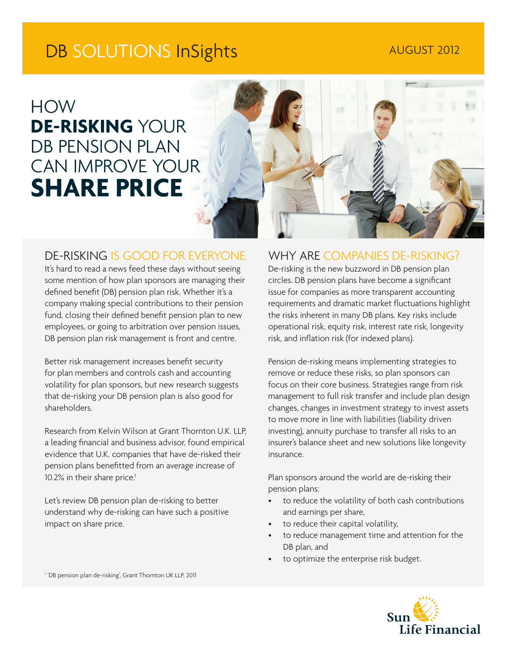# DB SOLUTIONS InSights AUGUST 2012

HOW **DE-RISKING** YOUR DB PENSION PLAN CAN IMPROVE YOUR **SHARE PRICE**



## DE-RISKING IS GOOD FOR EVERYONE

It's hard to read a news feed these days without seeing some mention of how plan sponsors are managing their defined benefit (DB) pension plan risk. Whether it's a company making special contributions to their pension fund, closing their defined benefit pension plan to new employees, or going to arbitration over pension issues, DB pension plan risk management is front and centre.

Better risk management increases benefit security for plan members and controls cash and accounting volatility for plan sponsors, but new research suggests that de-risking your DB pension plan is also good for shareholders.

Research from Kelvin Wilson at Grant Thornton U.K. LLP, a leading financial and business advisor, found empirical evidence that U.K. companies that have de-risked their pension plans benefitted from an average increase of 10.2% in their share price.<sup>1</sup>

Let's review DB pension plan de-risking to better understand why de-risking can have such a positive impact on share price.

### WHY ARE COMPANIES DE-RISKING?

De-risking is the new buzzword in DB pension plan circles. DB pension plans have become a significant issue for companies as more transparent accounting requirements and dramatic market fluctuations highlight the risks inherent in many DB plans. Key risks include operational risk, equity risk, interest rate risk, longevity risk, and inflation risk (for indexed plans).

Pension de-risking means implementing strategies to remove or reduce these risks, so plan sponsors can focus on their core business. Strategies range from risk management to full risk transfer and include plan design changes, changes in investment strategy to invest assets to move more in line with liabilities (liability driven investing), annuity purchase to transfer all risks to an insurer's balance sheet and new solutions like longevity insurance.

Plan sponsors around the world are de-risking their pension plans:

- to reduce the volatility of both cash contributions and earnings per share,
- to reduce their capital volatility,
- to reduce management time and attention for the DB plan, and
- to optimize the enterprise risk budget.



<sup>1</sup> 'DB pension plan de-risking', Grant Thornton UK LLP, 2011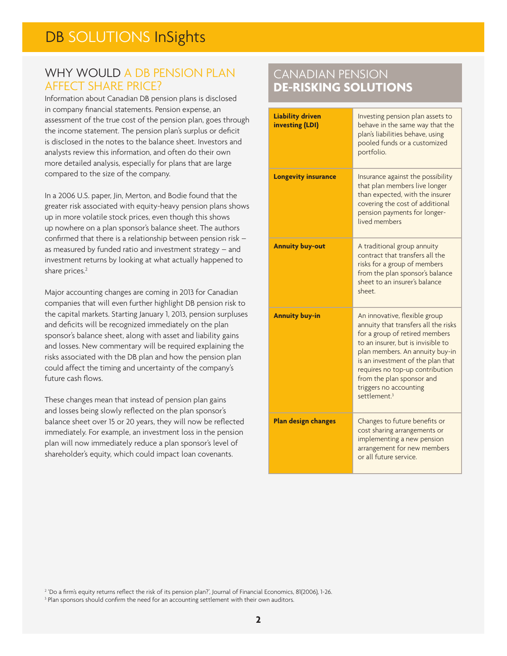# WHY WOULD A DB PENSION PLAN AFFECT SHARE PRICE?

Information about Canadian DB pension plans is disclosed in company financial statements. Pension expense, an assessment of the true cost of the pension plan, goes through the income statement. The pension plan's surplus or deficit is disclosed in the notes to the balance sheet. Investors and analysts review this information, and often do their own more detailed analysis, especially for plans that are large compared to the size of the company.

In a 2006 U.S. paper, Jin, Merton, and Bodie found that the greater risk associated with equity-heavy pension plans shows up in more volatile stock prices, even though this shows up nowhere on a plan sponsor's balance sheet. The authors confirmed that there is a relationship between pension risk – as measured by funded ratio and investment strategy – and investment returns by looking at what actually happened to share prices.<sup>2</sup>

Major accounting changes are coming in 2013 for Canadian companies that will even further highlight DB pension risk to the capital markets. Starting January 1, 2013, pension surpluses and deficits will be recognized immediately on the plan sponsor's balance sheet, along with asset and liability gains and losses. New commentary will be required explaining the risks associated with the DB plan and how the pension plan could affect the timing and uncertainty of the company's future cash flows.

These changes mean that instead of pension plan gains and losses being slowly reflected on the plan sponsor's balance sheet over 15 or 20 years, they will now be reflected immediately. For example, an investment loss in the pension plan will now immediately reduce a plan sponsor's level of shareholder's equity, which could impact loan covenants.

# CANADIAN PENSION **DE-RISKING SOLUTIONS**

| <b>Liability driven</b><br>investing (LDI) | Investing pension plan assets to<br>behave in the same way that the<br>plan's liabilities behave, using<br>pooled funds or a customized<br>portfolio.                                                                                                                                                                                       |
|--------------------------------------------|---------------------------------------------------------------------------------------------------------------------------------------------------------------------------------------------------------------------------------------------------------------------------------------------------------------------------------------------|
| <b>Longevity insurance</b>                 | Insurance against the possibility<br>that plan members live longer<br>than expected, with the insurer<br>covering the cost of additional<br>pension payments for longer-<br>lived members                                                                                                                                                   |
| <b>Annuity buy-out</b>                     | A traditional group annuity<br>contract that transfers all the<br>risks for a group of members<br>from the plan sponsor's balance<br>sheet to an insurer's balance<br>sheet.                                                                                                                                                                |
| <b>Annuity buy-in</b>                      | An innovative, flexible group<br>annuity that transfers all the risks<br>for a group of retired members<br>to an insurer, but is invisible to<br>plan members. An annuity buy-in<br>is an investment of the plan that<br>requires no top-up contribution<br>from the plan sponsor and<br>triggers no accounting<br>settlement. <sup>3</sup> |
| <b>Plan design changes</b>                 | Changes to future benefits or<br>cost sharing arrangements or<br>implementing a new pension<br>arrangement for new members<br>or all future service.                                                                                                                                                                                        |

2 'Do a firm's equity returns reflect the risk of its pension plan?', Journal of Financial Economics, 81(2006), 1-26.

<sup>3</sup> Plan sponsors should confirm the need for an accounting settlement with their own auditors.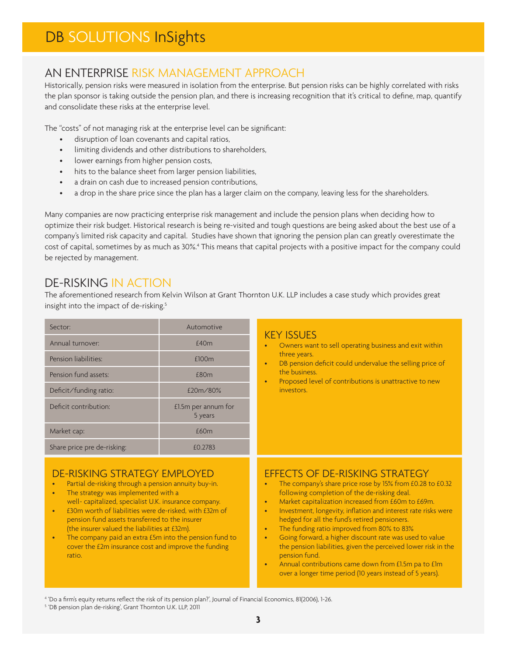# AN ENTERPRISE RISK MANAGEMENT APPROACH

Historically, pension risks were measured in isolation from the enterprise. But pension risks can be highly correlated with risks the plan sponsor is taking outside the pension plan, and there is increasing recognition that it's critical to define, map, quantify and consolidate these risks at the enterprise level.

The "costs" of not managing risk at the enterprise level can be significant:

- disruption of loan covenants and capital ratios,
- limiting dividends and other distributions to shareholders,
- lower earnings from higher pension costs,
- hits to the balance sheet from larger pension liabilities,
- a drain on cash due to increased pension contributions,
- a drop in the share price since the plan has a larger claim on the company, leaving less for the shareholders.

Many companies are now practicing enterprise risk management and include the pension plans when deciding how to optimize their risk budget. Historical research is being re-visited and tough questions are being asked about the best use of a company's limited risk capacity and capital. Studies have shown that ignoring the pension plan can greatly overestimate the cost of capital, sometimes by as much as 30%.<sup>4</sup> This means that capital projects with a positive impact for the company could be rejected by management.

# DE-RISKING IN ACTION

The aforementioned research from Kelvin Wilson at Grant Thornton U.K. LLP includes a case study which provides great insight into the impact of de-risking.<sup>5</sup>

| Sector:                                                  | Automotive                     | <b>KEY ISSUES</b><br>Owners want to sell operating business and exit within<br>$\bullet$<br>three years.<br>DB pension deficit could undervalue the selling price of<br>$\bullet$<br>the business.<br>Proposed level of contributions is unattractive to new<br>$\bullet$<br>investors. |
|----------------------------------------------------------|--------------------------------|-----------------------------------------------------------------------------------------------------------------------------------------------------------------------------------------------------------------------------------------------------------------------------------------|
| Annual turnover:                                         | £40m                           |                                                                                                                                                                                                                                                                                         |
| Pension liabilities:                                     | £100m                          |                                                                                                                                                                                                                                                                                         |
| Pension fund assets:                                     | £80m                           |                                                                                                                                                                                                                                                                                         |
| Deficit/funding ratio:                                   | £20m/80%                       |                                                                                                                                                                                                                                                                                         |
| Deficit contribution:                                    | £1.5m per annum for<br>5 years |                                                                                                                                                                                                                                                                                         |
| Market cap:                                              | £60m                           |                                                                                                                                                                                                                                                                                         |
| Share price pre de-risking:                              | £0.2783                        |                                                                                                                                                                                                                                                                                         |
| $\overline{C}$ DICI/INIC CTD ATECN EN ADI $\overline{C}$ |                                | FEEECTS OF DE DISIULO STRATECV                                                                                                                                                                                                                                                          |

#### DE-RISKING STRATEGY EMPLOYED

- Partial de-risking through a pension annuity buy-in.
- The strategy was implemented with a well- capitalized, specialist U.K. insurance company.
- £30m worth of liabilities were de-risked, with £32m of pension fund assets transferred to the insurer (the insurer valued the liabilities at £32m).
- The company paid an extra £5m into the pension fund to cover the £2m insurance cost and improve the funding ratio.

#### EFFECTS OF DE-RISKING STRATEGY

- The company's share price rose by 15% from £0.28 to £0.32 following completion of the de-risking deal.
- Market capitalization increased from £60m to £69m.
- Investment, longevity, inflation and interest rate risks were hedged for all the fund's retired pensioners.
- The funding ratio improved from 80% to 83%
- Going forward, a higher discount rate was used to value the pension liabilities, given the perceived lower risk in the pension fund.
- Annual contributions came down from £1.5m pa to £1m over a longer time period (10 years instead of 5 years).

4 'Do a firm's equity returns reflect the risk of its pension plan?', Journal of Financial Economics, 81(2006), 1-26.

5 'DB pension plan de-risking', Grant Thornton U.K. LLP, 2011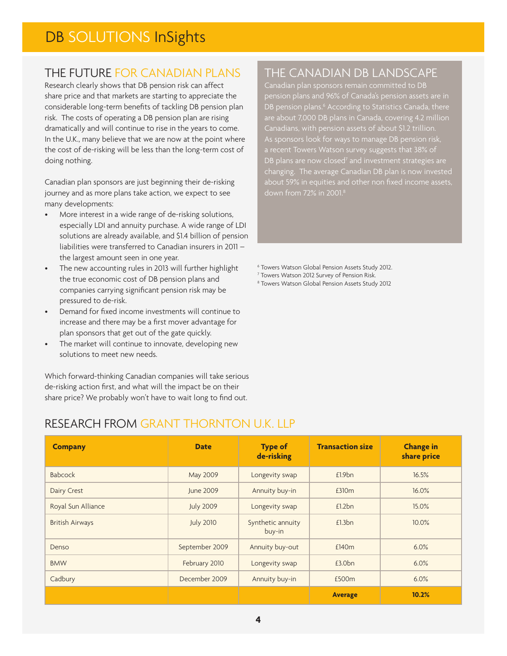# THE FUTURE FOR CANADIAN PLANS

Research clearly shows that DB pension risk can affect share price and that markets are starting to appreciate the considerable long-term benefits of tackling DB pension plan risk. The costs of operating a DB pension plan are rising dramatically and will continue to rise in the years to come. In the U.K., many believe that we are now at the point where the cost of de-risking will be less than the long-term cost of doing nothing.

Canadian plan sponsors are just beginning their de-risking journey and as more plans take action, we expect to see many developments:

- More interest in a wide range of de-risking solutions, especially LDI and annuity purchase. A wide range of LDI solutions are already available, and \$1.4 billion of pension liabilities were transferred to Canadian insurers in 2011 – the largest amount seen in one year.
- The new accounting rules in 2013 will further highlight the true economic cost of DB pension plans and companies carrying significant pension risk may be pressured to de-risk.
- Demand for fixed income investments will continue to increase and there may be a first mover advantage for plan sponsors that get out of the gate quickly.
- The market will continue to innovate, developing new solutions to meet new needs.

Which forward-thinking Canadian companies will take serious de-risking action first, and what will the impact be on their share price? We probably won't have to wait long to find out.

RESEARCH FROM GRANT THORNTON U.K. LLP

# THE CANADIAN DB LANDSCAPE

Canadian plan sponsors remain committed to DB pension plans and 96% of Canada's pension assets are in DB pension plans.<sup>6</sup> According to Statistics Canada, there are about 7,000 DB plans in Canada, covering 4.2 million Canadians, with pension assets of about \$1.2 trillion. As sponsors look for ways to manage DB pension risk, a recent Towers Watson survey suggests that 38% of DB plans are now closed<sup>7</sup> and investment strategies are changing. The average Canadian DB plan is now invested

6 Towers Watson Global Pension Assets Study 2012.

- 7 Towers Watson 2012 Survey of Pension Risk.
- 8 Towers Watson Global Pension Assets Study 2012

### **Company Date Date Type of de-risking Transaction size Change in share price** Babcock **May 2009** Longevity swap **E1.9bn 16.5%** Dairy Crest Community Crest June 2009 | Annuity buy-in | £310m | 16.0% Royal Sun Alliance **No. 2009** Longevity swap **Ellah 15.0%** 15.0% British Airways **July 2010** Synthetic annuity buy-in £1.3bn 10.0% Denso September 2009 Annuity buy-out £140m and 6.0% BMW **February 2010** Longevity swap **E3.0bn** 8.0% 6.0% Cadbury December 2009 Annuity buy-in £500m 6.0% **Average 10.2%**